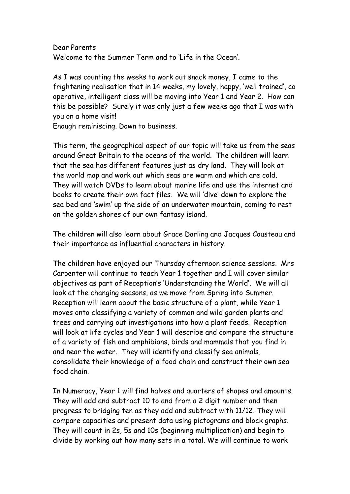Dear Parents Welcome to the Summer Term and to 'Life in the Ocean'.

As I was counting the weeks to work out snack money, I came to the frightening realisation that in 14 weeks, my lovely, happy, 'well trained', co operative, intelligent class will be moving into Year 1 and Year 2. How can this be possible? Surely it was only just a few weeks ago that I was with you on a home visit!

Enough reminiscing. Down to business.

This term, the geographical aspect of our topic will take us from the seas around Great Britain to the oceans of the world. The children will learn that the sea has different features just as dry land. They will look at the world map and work out which seas are warm and which are cold. They will watch DVDs to learn about marine life and use the internet and books to create their own fact files. We will 'dive' down to explore the sea bed and 'swim' up the side of an underwater mountain, coming to rest on the golden shores of our own fantasy island.

The children will also learn about Grace Darling and Jacques Cousteau and their importance as influential characters in history.

The children have enjoyed our Thursday afternoon science sessions. Mrs Carpenter will continue to teach Year 1 together and I will cover similar objectives as part of Reception's 'Understanding the World'. We will all look at the changing seasons, as we move from Spring into Summer. Reception will learn about the basic structure of a plant, while Year 1 moves onto classifying a variety of common and wild garden plants and trees and carrying out investigations into how a plant feeds. Reception will look at life cycles and Year 1 will describe and compare the structure of a variety of fish and amphibians, birds and mammals that you find in and near the water. They will identify and classify sea animals, consolidate their knowledge of a food chain and construct their own sea food chain.

In Numeracy, Year 1 will find halves and quarters of shapes and amounts. They will add and subtract 10 to and from a 2 digit number and then progress to bridging ten as they add and subtract with 11/12. They will compare capacities and present data using pictograms and block graphs. They will count in 2s, 5s and 10s (beginning multiplication) and begin to divide by working out how many sets in a total. We will continue to work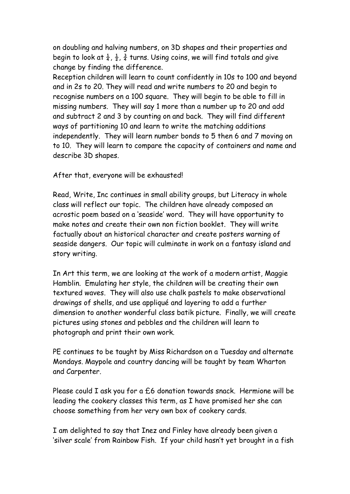on doubling and halving numbers, on 3D shapes and their properties and begin to look at  $\frac{1}{4}$ ,  $\frac{1}{2}$ ,  $\frac{3}{4}$  turns. Using coins, we will find totals and give change by finding the difference.

Reception children will learn to count confidently in 10s to 100 and beyond and in 2s to 20. They will read and write numbers to 20 and begin to recognise numbers on a 100 square. They will begin to be able to fill in missing numbers. They will say 1 more than a number up to 20 and add and subtract 2 and 3 by counting on and back. They will find different ways of partitioning 10 and learn to write the matching additions independently. They will learn number bonds to 5 then 6 and 7 moving on to 10. They will learn to compare the capacity of containers and name and describe 3D shapes.

After that, everyone will be exhausted!

Read, Write, Inc continues in small ability groups, but Literacy in whole class will reflect our topic. The children have already composed an acrostic poem based on a 'seaside' word. They will have opportunity to make notes and create their own non fiction booklet. They will write factually about an historical character and create posters warning of seaside dangers. Our topic will culminate in work on a fantasy island and story writing.

In Art this term, we are looking at the work of a modern artist, Maggie Hamblin. Emulating her style, the children will be creating their own textured waves. They will also use chalk pastels to make observational drawings of shells, and use appliqué and layering to add a further dimension to another wonderful class batik picture. Finally, we will create pictures using stones and pebbles and the children will learn to photograph and print their own work.

PE continues to be taught by Miss Richardson on a Tuesday and alternate Mondays. Maypole and country dancing will be taught by team Wharton and Carpenter.

Please could I ask you for a £6 donation towards snack. Hermione will be leading the cookery classes this term, as I have promised her she can choose something from her very own box of cookery cards.

I am delighted to say that Inez and Finley have already been given a 'silver scale' from Rainbow Fish. If your child hasn't yet brought in a fish